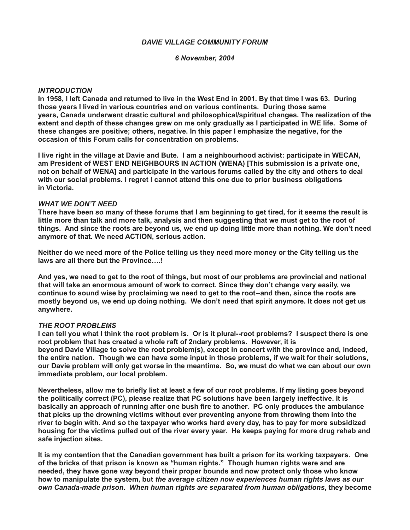### *DAVIE VILLAGE COMMUNITY FORUM*

*6 November, 2004*

### *INTRODUCTION*

**In 1958, I left Canada and returned to live in the West End in 2001. By that time I was 63. During those years I lived in various countries and on various continents. During those same years, Canada underwent drastic cultural and philosophical/spiritual changes. The realization of the extent and depth of these changes grew on me only gradually as I participated in WE life. Some of these changes are positive; others, negative. In this paper I emphasize the negative, for the occasion of this Forum calls for concentration on problems.**

**I live right in the village at Davie and Bute. I am a neighbourhood activist: participate in WECAN, am President of WEST END NEIGHBOURS IN ACTION (WENA) [This submission is a private one, not on behalf of WENA] and participate in the various forums called by the city and others to deal with our social problems. I regret I cannot attend this one due to prior business obligations in Victoria.**

#### *WHAT WE DON'T NEED*

**There have been so many of these forums that I am beginning to get tired, for it seems the result is little more than talk and more talk, analysis and then suggesting that we must get to the root of things. And since the roots are beyond us, we end up doing little more than nothing. We don't need anymore of that. We need ACTION, serious action.**

**Neither do we need more of the Police telling us they need more money or the City telling us the laws are all there but the Province….!**

**And yes, we need to get to the root of things, but most of our problems are provincial and national that will take an enormous amount of work to correct. Since they don't change very easily, we continue to sound wise by proclaiming we need to get to the root--and then, since the roots are mostly beyond us, we end up doing nothing. We don't need that spirit anymore. It does not get us anywhere.**

### *THE ROOT PROBLEMS*

**I can tell you what I think the root problem is. Or is it plural--root problems? I suspect there is one root problem that has created a whole raft of 2ndary problems. However, it is beyond Davie Village to solve the root problem(s), except in concert with the province and, indeed, the entire nation. Though we can have some input in those problems, if we wait for their solutions, our Davie problem will only get worse in the meantime. So, we must do what we can about our own immediate problem, our local problem.**

**Nevertheless, allow me to briefly list at least a few of our root problems. If my listing goes beyond the politically correct (PC), please realize that PC solutions have been largely ineffective. It is basically an approach of running after one bush fire to another. PC only produces the ambulance that picks up the drowning victims without ever preventing anyone from throwing them into the river to begin with. And so the taxpayer who works hard every day, has to pay for more subsidized housing for the victims pulled out of the river every year. He keeps paying for more drug rehab and safe injection sites.**

**It is my contention that the Canadian government has built a prison for its working taxpayers. One of the bricks of that prison is known as "human rights." Though human rights were and are needed, they have gone way beyond their proper bounds and now protect only those who know how to manipulate the system, but** *the average citizen now experiences human rights laws as our own Canada-made prison***.** *When human rights are separated from human obligations***, they become**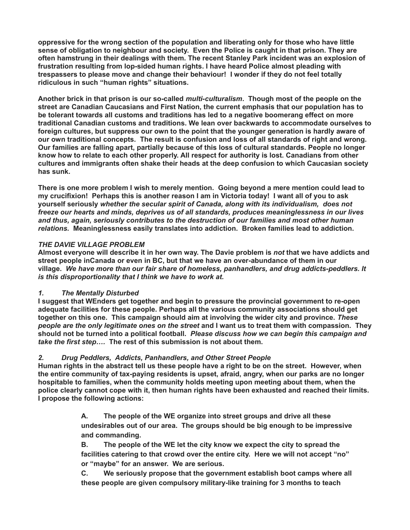**oppressive for the wrong section of the population and liberating only for those who have little sense of obligation to neighbour and society. Even the Police is caught in that prison. They are often hamstrung in their dealings with them. The recent Stanley Park incident was an explosion of frustration resulting from lop-sided human rights. I have heard Police almost pleading with trespassers to please move and change their behaviour! I wonder if they do not feel totally ridiculous in such "human rights" situations.**

**Another brick in that prison is our so-called** *multi-culturalism***. Though most of the people on the street are Canadian Caucasians and First Nation, the current emphasis that our population has to be tolerant towards all customs and traditions has led to a negative boomerang effect on more traditional Canadian customs and traditions. We lean over backwards to accommodate ourselves to foreign cultures, but suppress our own to the point that the younger generation is hardly aware of our own traditional concepts. The result is confusion and loss of all standards of right and wrong. Our families are falling apart, partially because of this loss of cultural standards. People no longer know how to relate to each other properly. All respect for authority is lost. Canadians from other cultures and immigrants often shake their heads at the deep confusion to which Caucasian society has sunk.**

**There is one more problem I wish to merely mention. Going beyond a mere mention could lead to my crucifixion! Perhaps this is another reason I am in Victoria today! I want all of you to ask yourself seriously** *whether the secular spirit of Canada, along with its individualism, does not freeze our hearts and minds, deprives us of all standards, produces meaninglessness in our lives and thus, again, seriously contributes to the destruction of our families and most other human relations.* **Meaninglessness easily translates into addiction. Broken families lead to addiction.**

## *THE DAVIE VILLAGE PROBLEM*

**Almost everyone will describe it in her own way. The Davie problem is** *not* **that we have addicts and street people inCanada or even in BC, but that we have an over-abundance of them in our village.** *We have more than our fair share of homeless, panhandlers, and drug addicts-peddlers. It is this disproportionality that I think we have to work at.*

# *1. The Mentally Disturbed*

**I suggest that WEnders get together and begin to pressure the provincial government to re-open adequate facilities for these people. Perhaps all the various community associations should get together on this one. This campaign should aim at involving the wider city and province.** *These people are the only legitimate ones on the street* **and I want us to treat them with compassion. They should not be turned into a political football.** *Please discuss how we can begin this campaign and take the first step….* **The rest of this submission is not about them.**

# *2. Drug Peddlers, Addicts, Panhandlers, and Other Street People*

**Human rights in the abstract tell us these people have a right to be on the street. However, when the entire community of tax-paying residents is upset, afraid, angry, when our parks are no longer hospitable to families, when the community holds meeting upon meeting about them, when the police clearly cannot cope with it, then human rights have been exhausted and reached their limits. I propose the following actions:**

> **A. The people of the WE organize into street groups and drive all these undesirables out of our area. The groups should be big enough to be impressive and commanding.**

**B. The people of the WE let the city know we expect the city to spread the facilities catering to that crowd over the entire city. Here we will not accept "no" or "maybe" for an answer. We are serious.**

**C. We seriously propose that the government establish boot camps where all these people are given compulsory military-like training for 3 months to teach**